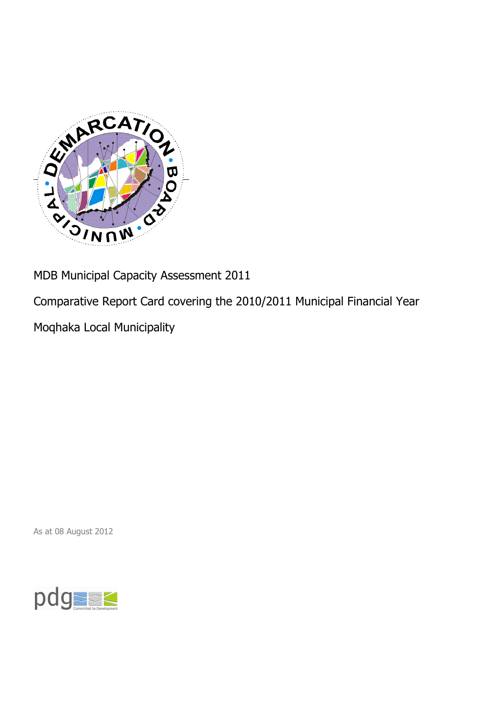

MDB Municipal Capacity Assessment 2011

Comparative Report Card covering the 2010/2011 Municipal Financial Year

Moqhaka Local Municipality

As at 08 August 2012

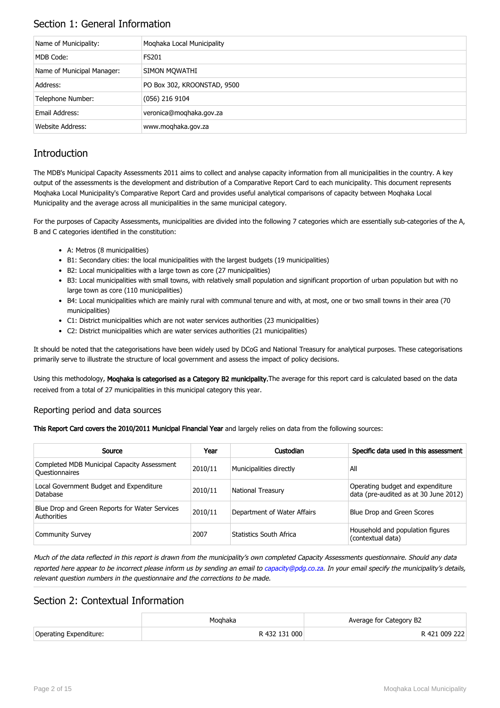## Section 1: General Information

| Name of Municipality:      | Moghaka Local Municipality  |
|----------------------------|-----------------------------|
| MDB Code:                  | <b>FS201</b>                |
| Name of Municipal Manager: | SIMON MOWATHI               |
| Address:                   | PO Box 302, KROONSTAD, 9500 |
| Telephone Number:          | (056) 216 9104              |
| Email Address:             | veronica@moghaka.gov.za     |
| Website Address:           | www.moghaka.gov.za          |

## **Introduction**

The MDB's Municipal Capacity Assessments 2011 aims to collect and analyse capacity information from all municipalities in the country. A key output of the assessments is the development and distribution of a Comparative Report Card to each municipality. This document represents Moqhaka Local Municipality's Comparative Report Card and provides useful analytical comparisons of capacity between Moqhaka Local Municipality and the average across all municipalities in the same municipal category.

For the purposes of Capacity Assessments, municipalities are divided into the following 7 categories which are essentially sub-categories of the A, B and C categories identified in the constitution:

- A: Metros (8 municipalities)
- B1: Secondary cities: the local municipalities with the largest budgets (19 municipalities)
- B2: Local municipalities with a large town as core (27 municipalities)
- B3: Local municipalities with small towns, with relatively small population and significant proportion of urban population but with no large town as core (110 municipalities)
- B4: Local municipalities which are mainly rural with communal tenure and with, at most, one or two small towns in their area (70 municipalities)
- C1: District municipalities which are not water services authorities (23 municipalities)
- C2: District municipalities which are water services authorities (21 municipalities)

It should be noted that the categorisations have been widely used by DCoG and National Treasury for analytical purposes. These categorisations primarily serve to illustrate the structure of local government and assess the impact of policy decisions.

Using this methodology, Moqhaka is categorised as a Category B2 municipality. The average for this report card is calculated based on the data received from a total of 27 municipalities in this municipal category this year.

#### Reporting period and data sources

This Report Card covers the 2010/2011 Municipal Financial Year and largely relies on data from the following sources:

| Source                                                               | Year    | Custodian                   | Specific data used in this assessment                                     |
|----------------------------------------------------------------------|---------|-----------------------------|---------------------------------------------------------------------------|
| Completed MDB Municipal Capacity Assessment<br><b>Ouestionnaires</b> | 2010/11 | Municipalities directly     | All                                                                       |
| Local Government Budget and Expenditure<br>Database                  | 2010/11 | <b>National Treasury</b>    | Operating budget and expenditure<br>data (pre-audited as at 30 June 2012) |
| Blue Drop and Green Reports for Water Services<br>Authorities        | 2010/11 | Department of Water Affairs | Blue Drop and Green Scores                                                |
| <b>Community Survey</b>                                              | 2007    | Statistics South Africa     | Household and population figures<br>(contextual data)                     |

Much of the data reflected in this report is drawn from the municipality's own completed Capacity Assessments questionnaire. Should any data reported here appear to be incorrect please inform us by sending an email to [capacity@pdg.co.za](mailto:capacity@pdg.co.za). In your email specify the municipality's details, relevant question numbers in the questionnaire and the corrections to be made.

### Section 2: Contextual Information

|                        | Moahaka       | Average for Category B2 |
|------------------------|---------------|-------------------------|
| Operating Expenditure: | R 432 131 000 | R 421 009 222           |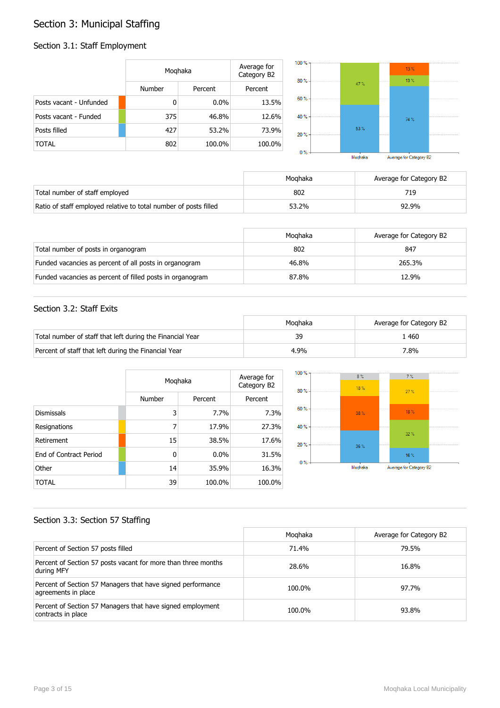## Section 3: Municipal Staffing

## Section 3.1: Staff Employment

|                         | Moqhaka |         | Average for<br>Category B2 | $100 \%$ -<br>80% |         | $13\%$<br>13% |  |
|-------------------------|---------|---------|----------------------------|-------------------|---------|---------------|--|
|                         | Number  | Percent | Percent                    |                   | $47 \%$ |               |  |
| Posts vacant - Unfunded | 0       | $0.0\%$ | 13.5%                      | $60 \%$           |         |               |  |
| Posts vacant - Funded   | 375     | 46.8%   | 12.6%                      | 40 % -            |         | 74 %          |  |
| Posts filled            | 427     | 53.2%   | 73.9%                      | $20% -$           | 53%     |               |  |
| <b>TOTAL</b>            | 802     | 100.0%  | 100.0%                     | $0\%$             |         |               |  |

| Moghaka |  | Average for Category B2 |  |
|---------|--|-------------------------|--|

|                                                                  | Moghaka | Average for Category B2 |
|------------------------------------------------------------------|---------|-------------------------|
| Total number of staff employed                                   | 802     | 719                     |
| Ratio of staff employed relative to total number of posts filled | 53.2%   | 92.9%                   |

|                                                           | Moghaka | Average for Category B2 |
|-----------------------------------------------------------|---------|-------------------------|
| Total number of posts in organogram                       | 802     | 847                     |
| Funded vacancies as percent of all posts in organogram    | 46.8%   | 265.3%                  |
| Funded vacancies as percent of filled posts in organogram | 87.8%   | 12.9%                   |

#### Section 3.2: Staff Exits

|                                                           | Moahaka | Average for Category B2 |
|-----------------------------------------------------------|---------|-------------------------|
| Total number of staff that left during the Financial Year | 39      | 460                     |
| Percent of staff that left during the Financial Year      | 4.9%    | 7.8%                    |

|                        |        | Moghaka |         |  |
|------------------------|--------|---------|---------|--|
|                        | Number | Percent | Percent |  |
| <b>Dismissals</b>      | 3      | 7.7%    | 7.3%    |  |
| Resignations           | 7      | 17.9%   | 27.3%   |  |
| Retirement             | 15     | 38.5%   | 17.6%   |  |
| End of Contract Period | 0      | 0.0%    | 31.5%   |  |
| Other                  | 14     | 35.9%   | 16.3%   |  |
| TOTAL                  | 39     | 100.0%  | 100.0%  |  |



#### Section 3.3: Section 57 Staffing

|                                                                                    | Moghaka | Average for Category B2 |
|------------------------------------------------------------------------------------|---------|-------------------------|
| Percent of Section 57 posts filled                                                 | 71.4%   | 79.5%                   |
| Percent of Section 57 posts vacant for more than three months<br>during MFY        | 28.6%   | 16.8%                   |
| Percent of Section 57 Managers that have signed performance<br>agreements in place | 100.0%  | 97.7%                   |
| Percent of Section 57 Managers that have signed employment<br>contracts in place   | 100.0%  | 93.8%                   |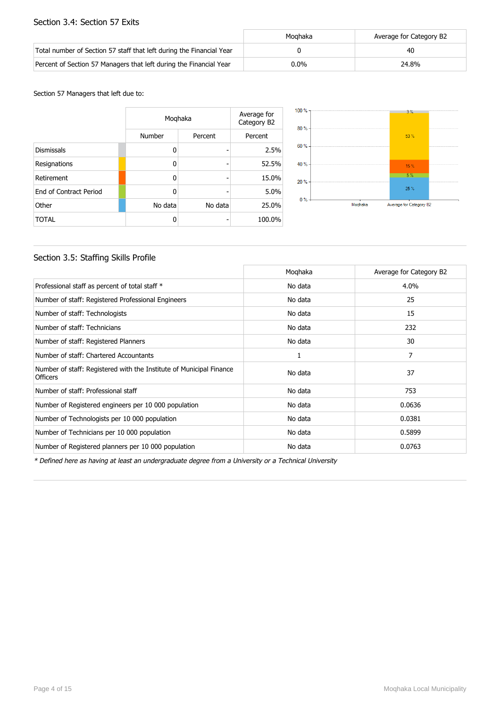#### Section 3.4: Section 57 Exits

|                                                                      | Moghaka | Average for Category B2 |
|----------------------------------------------------------------------|---------|-------------------------|
| Total number of Section 57 staff that left during the Financial Year |         | 40                      |
| Percent of Section 57 Managers that left during the Financial Year   | $0.0\%$ | 24.8%                   |

#### Section 57 Managers that left due to:

|                        |         | Moghaka<br>Number<br>Percent |        |  |
|------------------------|---------|------------------------------|--------|--|
|                        |         |                              |        |  |
| <b>Dismissals</b>      | 0       |                              | 2.5%   |  |
| Resignations           | 0       | -                            | 52.5%  |  |
| Retirement             | 0       |                              | 15.0%  |  |
| End of Contract Period | 0       |                              | 5.0%   |  |
| Other                  | No data | No data                      | 25.0%  |  |
| <b>TOTAL</b>           | 0       |                              | 100.0% |  |



#### Section 3.5: Staffing Skills Profile

|                                                                                        | Moghaka | Average for Category B2 |
|----------------------------------------------------------------------------------------|---------|-------------------------|
| Professional staff as percent of total staff *                                         | No data | 4.0%                    |
| Number of staff: Registered Professional Engineers                                     | No data | 25                      |
| Number of staff: Technologists                                                         | No data | 15                      |
| Number of staff: Technicians                                                           | No data | 232                     |
| Number of staff: Registered Planners                                                   | No data | 30                      |
| Number of staff: Chartered Accountants                                                 | 1       | 7                       |
| Number of staff: Registered with the Institute of Municipal Finance<br><b>Officers</b> | No data | 37                      |
| Number of staff: Professional staff                                                    | No data | 753                     |
| Number of Registered engineers per 10 000 population                                   | No data | 0.0636                  |
| Number of Technologists per 10 000 population                                          | No data | 0.0381                  |
| Number of Technicians per 10 000 population                                            | No data | 0.5899                  |
| Number of Registered planners per 10 000 population                                    | No data | 0.0763                  |

\* Defined here as having at least an undergraduate degree from a University or a Technical University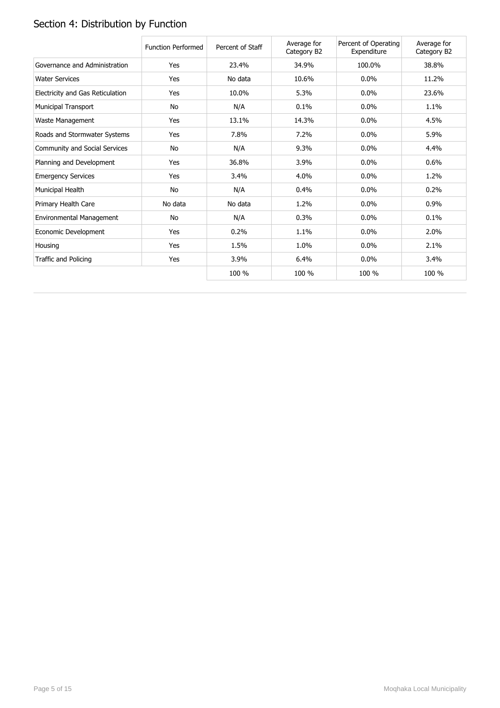# Section 4: Distribution by Function

|                                  | <b>Function Performed</b> | Percent of Staff | Average for<br>Category B2 | Percent of Operating<br>Expenditure | Average for<br>Category B2 |
|----------------------------------|---------------------------|------------------|----------------------------|-------------------------------------|----------------------------|
| Governance and Administration    | Yes                       | 23.4%            | 34.9%                      | 100.0%                              | 38.8%                      |
| <b>Water Services</b>            | Yes                       | No data          | 10.6%                      | $0.0\%$                             | 11.2%                      |
| Electricity and Gas Reticulation | Yes                       | 10.0%            | 5.3%                       | $0.0\%$                             | 23.6%                      |
| Municipal Transport              | No                        | N/A              | 0.1%                       | $0.0\%$                             | 1.1%                       |
| Waste Management                 | Yes                       | 13.1%            | 14.3%                      | 0.0%                                | 4.5%                       |
| Roads and Stormwater Systems     | Yes                       | 7.8%             | 7.2%                       | 0.0%                                | 5.9%                       |
| Community and Social Services    | No                        | N/A              | 9.3%                       | 0.0%                                | 4.4%                       |
| Planning and Development         | Yes                       | 36.8%            | 3.9%                       | $0.0\%$                             | 0.6%                       |
| <b>Emergency Services</b>        | Yes                       | 3.4%             | 4.0%                       | 0.0%                                | 1.2%                       |
| Municipal Health                 | No                        | N/A              | 0.4%                       | 0.0%                                | 0.2%                       |
| Primary Health Care              | No data                   | No data          | 1.2%                       | 0.0%                                | 0.9%                       |
| Environmental Management         | No                        | N/A              | 0.3%                       | 0.0%                                | 0.1%                       |
| Economic Development             | Yes                       | 0.2%             | 1.1%                       | $0.0\%$                             | 2.0%                       |
| Housing                          | Yes                       | 1.5%             | 1.0%                       | 0.0%                                | 2.1%                       |
| Traffic and Policing             | Yes                       | 3.9%             | 6.4%                       | 0.0%                                | 3.4%                       |
|                                  |                           | 100 %            | 100 %                      | 100 %                               | 100 %                      |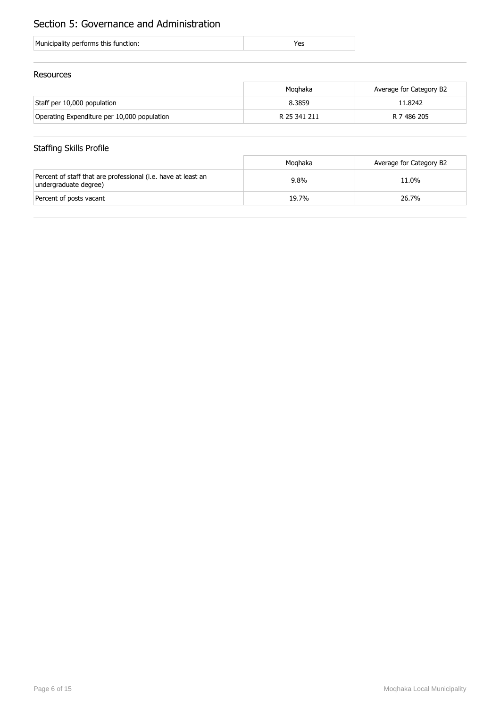## Section 5: Governance and Administration

#### Resources

|                                             | Moahaka      | Average for Category B2 |
|---------------------------------------------|--------------|-------------------------|
| Staff per 10,000 population                 | 8.3859       | 11.8242                 |
| Operating Expenditure per 10,000 population | R 25 341 211 | R 7 486 205             |

## Staffing Skills Profile

|                                                                                        | Moghaka | Average for Category B2 |
|----------------------------------------------------------------------------------------|---------|-------------------------|
| Percent of staff that are professional (i.e. have at least an<br>undergraduate degree) | 9.8%    | 11.0%                   |
| Percent of posts vacant                                                                | 19.7%   | 26.7%                   |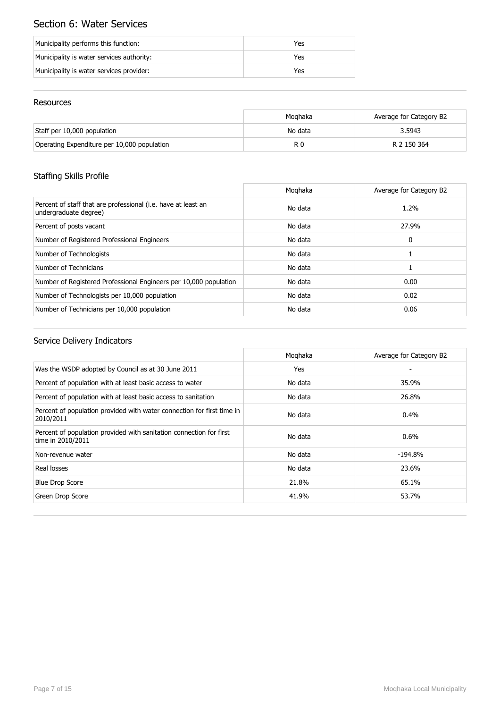## Section 6: Water Services

| Municipality performs this function:      | Yes |
|-------------------------------------------|-----|
| Municipality is water services authority: | Yes |
| Municipality is water services provider:  | Yes |

#### Resources

|                                             | Moghaka | Average for Category B2 |
|---------------------------------------------|---------|-------------------------|
| Staff per 10,000 population                 | No data | 3.5943                  |
| Operating Expenditure per 10,000 population | R 0     | R 2 150 364             |

## Staffing Skills Profile

|                                                                                        | Moghaka | Average for Category B2 |
|----------------------------------------------------------------------------------------|---------|-------------------------|
| Percent of staff that are professional (i.e. have at least an<br>undergraduate degree) | No data | $1.2\%$                 |
| Percent of posts vacant                                                                | No data | 27.9%                   |
| Number of Registered Professional Engineers                                            | No data | 0                       |
| Number of Technologists                                                                | No data |                         |
| Number of Technicians                                                                  | No data |                         |
| Number of Registered Professional Engineers per 10,000 population                      | No data | 0.00                    |
| Number of Technologists per 10,000 population                                          | No data | 0.02                    |
| Number of Technicians per 10,000 population                                            | No data | 0.06                    |

|                                                                                          | Moghaka | Average for Category B2 |
|------------------------------------------------------------------------------------------|---------|-------------------------|
| Was the WSDP adopted by Council as at 30 June 2011                                       | Yes     |                         |
| Percent of population with at least basic access to water                                | No data | 35.9%                   |
| Percent of population with at least basic access to sanitation                           | No data | 26.8%                   |
| Percent of population provided with water connection for first time in<br>2010/2011      | No data | $0.4\%$                 |
| Percent of population provided with sanitation connection for first<br>time in 2010/2011 | No data | $0.6\%$                 |
| Non-revenue water                                                                        | No data | $-194.8\%$              |
| Real losses                                                                              | No data | 23.6%                   |
| <b>Blue Drop Score</b>                                                                   | 21.8%   | 65.1%                   |
| Green Drop Score                                                                         | 41.9%   | 53.7%                   |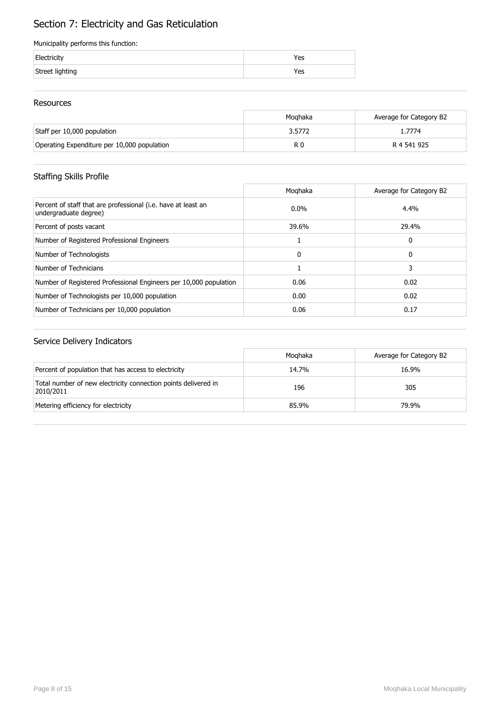# Section 7: Electricity and Gas Reticulation

#### Municipality performs this function:

| Electricity     | Yes |
|-----------------|-----|
| Street lighting | Yes |

#### Resources

|                                             | Moghaka | Average for Category B2 |
|---------------------------------------------|---------|-------------------------|
| Staff per 10,000 population                 | 3.5772  | l.7774                  |
| Operating Expenditure per 10,000 population | R 0     | R 4 541 925             |

## Staffing Skills Profile

|                                                                                        | Moghaka  | Average for Category B2 |
|----------------------------------------------------------------------------------------|----------|-------------------------|
| Percent of staff that are professional (i.e. have at least an<br>undergraduate degree) | $0.0\%$  | 4.4%                    |
| Percent of posts vacant                                                                | 39.6%    | 29.4%                   |
| Number of Registered Professional Engineers                                            |          | 0                       |
| Number of Technologists                                                                | $\Omega$ | 0                       |
| Number of Technicians                                                                  |          |                         |
| Number of Registered Professional Engineers per 10,000 population                      | 0.06     | 0.02                    |
| Number of Technologists per 10,000 population                                          | 0.00     | 0.02                    |
| Number of Technicians per 10,000 population                                            | 0.06     | 0.17                    |

|                                                                             | Moghaka | Average for Category B2 |
|-----------------------------------------------------------------------------|---------|-------------------------|
| Percent of population that has access to electricity                        | 14.7%   | 16.9%                   |
| Total number of new electricity connection points delivered in<br>2010/2011 | 196     | 305                     |
| Metering efficiency for electricity                                         | 85.9%   | 79.9%                   |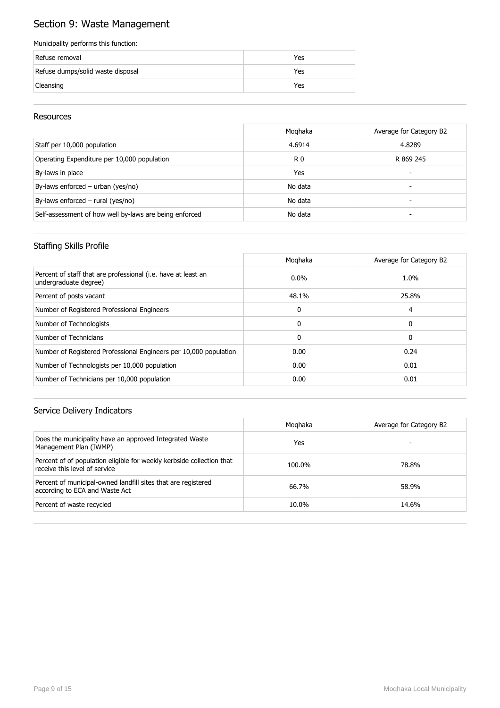## Section 9: Waste Management

#### Municipality performs this function:

| Refuse removal                    | Yes |
|-----------------------------------|-----|
| Refuse dumps/solid waste disposal | Yes |
| Cleansing                         | Yes |

#### Resources

|                                                        | Moghaka        | Average for Category B2 |
|--------------------------------------------------------|----------------|-------------------------|
| Staff per 10,000 population                            | 4.6914         | 4.8289                  |
| Operating Expenditure per 10,000 population            | R <sub>0</sub> | R 869 245               |
| By-laws in place                                       | Yes            |                         |
| By-laws enforced - urban (yes/no)                      | No data        | -                       |
| By-laws enforced - rural (yes/no)                      | No data        |                         |
| Self-assessment of how well by-laws are being enforced | No data        |                         |

#### Staffing Skills Profile

|                                                                                        | Moghaka      | Average for Category B2 |
|----------------------------------------------------------------------------------------|--------------|-------------------------|
| Percent of staff that are professional (i.e. have at least an<br>undergraduate degree) | $0.0\%$      | 1.0%                    |
| Percent of posts vacant                                                                | 48.1%        | 25.8%                   |
| Number of Registered Professional Engineers                                            | 0            | 4                       |
| Number of Technologists                                                                | $\Omega$     | 0                       |
| Number of Technicians                                                                  | $\mathbf{0}$ | 0                       |
| Number of Registered Professional Engineers per 10,000 population                      | 0.00         | 0.24                    |
| Number of Technologists per 10,000 population                                          | 0.00         | 0.01                    |
| Number of Technicians per 10,000 population                                            | 0.00         | 0.01                    |

|                                                                                                        | Moghaka | Average for Category B2 |
|--------------------------------------------------------------------------------------------------------|---------|-------------------------|
| Does the municipality have an approved Integrated Waste<br>Management Plan (IWMP)                      | Yes     |                         |
| Percent of of population eligible for weekly kerbside collection that<br>receive this level of service | 100.0%  | 78.8%                   |
| Percent of municipal-owned landfill sites that are registered<br>according to ECA and Waste Act        | 66.7%   | 58.9%                   |
| Percent of waste recycled                                                                              | 10.0%   | 14.6%                   |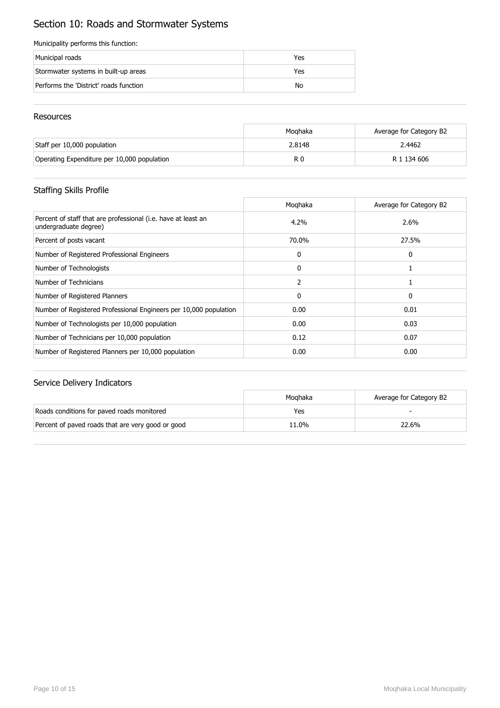## Section 10: Roads and Stormwater Systems

#### Municipality performs this function:

| Municipal roads                        | Yes |
|----------------------------------------|-----|
| Stormwater systems in built-up areas   | Yes |
| Performs the 'District' roads function | No  |

#### Resources

|                                             | Moghaka | Average for Category B2 |
|---------------------------------------------|---------|-------------------------|
| Staff per 10,000 population                 | 2.8148  | 2.4462                  |
| Operating Expenditure per 10,000 population | R C     | R 1 134 606             |

## Staffing Skills Profile

|                                                                                        | Moghaka | Average for Category B2 |
|----------------------------------------------------------------------------------------|---------|-------------------------|
| Percent of staff that are professional (i.e. have at least an<br>undergraduate degree) | 4.2%    | 2.6%                    |
| Percent of posts vacant                                                                | 70.0%   | 27.5%                   |
| Number of Registered Professional Engineers                                            | 0       | 0                       |
| Number of Technologists                                                                | 0       |                         |
| Number of Technicians                                                                  | 2       |                         |
| Number of Registered Planners                                                          | 0       | 0                       |
| Number of Registered Professional Engineers per 10,000 population                      | 0.00    | 0.01                    |
| Number of Technologists per 10,000 population                                          | 0.00    | 0.03                    |
| Number of Technicians per 10,000 population                                            | 0.12    | 0.07                    |
| Number of Registered Planners per 10,000 population                                    | 0.00    | 0.00                    |

|                                                   | Moghaka | Average for Category B2 |
|---------------------------------------------------|---------|-------------------------|
| Roads conditions for paved roads monitored        | Yes     |                         |
| Percent of paved roads that are very good or good | 11.0%   | 22.6%                   |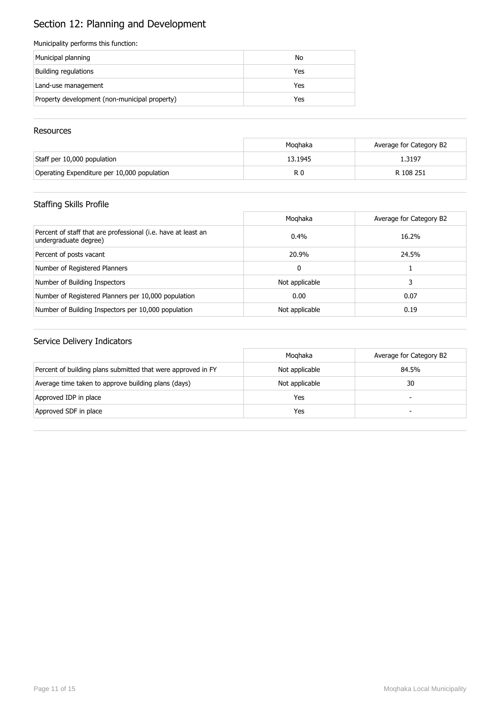# Section 12: Planning and Development

#### Municipality performs this function:

| Municipal planning                            | No  |
|-----------------------------------------------|-----|
| Building regulations                          | Yes |
| Land-use management                           | Yes |
| Property development (non-municipal property) | Yes |

#### **Resources**

|                                             | Moghaka | Average for Category B2 |
|---------------------------------------------|---------|-------------------------|
| Staff per 10,000 population                 | 13.1945 | 1.3197                  |
| Operating Expenditure per 10,000 population | R 0     | R 108 251               |

## Staffing Skills Profile

|                                                                                        | Moghaka        | Average for Category B2 |
|----------------------------------------------------------------------------------------|----------------|-------------------------|
| Percent of staff that are professional (i.e. have at least an<br>undergraduate degree) | $0.4\%$        | 16.2%                   |
| Percent of posts vacant                                                                | 20.9%          | 24.5%                   |
| Number of Registered Planners                                                          | 0              |                         |
| Number of Building Inspectors                                                          | Not applicable | 3                       |
| Number of Registered Planners per 10,000 population                                    | 0.00           | 0.07                    |
| Number of Building Inspectors per 10,000 population                                    | Not applicable | 0.19                    |

|                                                              | Moghaka        | Average for Category B2 |
|--------------------------------------------------------------|----------------|-------------------------|
| Percent of building plans submitted that were approved in FY | Not applicable | 84.5%                   |
| Average time taken to approve building plans (days)          | Not applicable | 30                      |
| Approved IDP in place                                        | Yes            | -                       |
| Approved SDF in place                                        | Yes            | -                       |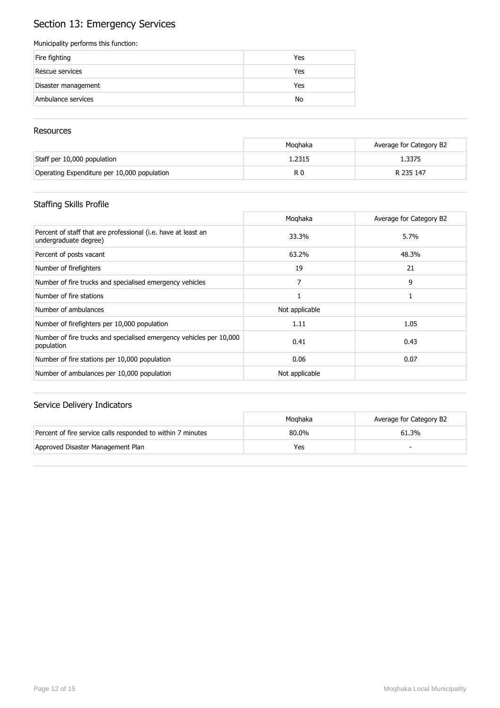## Section 13: Emergency Services

#### Municipality performs this function:

| Fire fighting       | Yes |
|---------------------|-----|
| Rescue services     | Yes |
| Disaster management | Yes |
| Ambulance services  | No  |

#### **Resources**

|                                             | Moghaka | Average for Category B2 |
|---------------------------------------------|---------|-------------------------|
| Staff per 10,000 population                 | . 2315  | 1.3375                  |
| Operating Expenditure per 10,000 population | R 0     | R 235 147               |

## Staffing Skills Profile

|                                                                                        | Moghaka        | Average for Category B2 |
|----------------------------------------------------------------------------------------|----------------|-------------------------|
| Percent of staff that are professional (i.e. have at least an<br>undergraduate degree) | 33.3%          | 5.7%                    |
| Percent of posts vacant                                                                | 63.2%          | 48.3%                   |
| Number of firefighters                                                                 | 19             | 21                      |
| Number of fire trucks and specialised emergency vehicles                               |                | 9                       |
| Number of fire stations                                                                |                |                         |
| Number of ambulances                                                                   | Not applicable |                         |
| Number of firefighters per 10,000 population                                           | 1.11           | 1.05                    |
| Number of fire trucks and specialised emergency vehicles per 10,000<br>population      | 0.41           | 0.43                    |
| Number of fire stations per 10,000 population                                          | 0.06           | 0.07                    |
| Number of ambulances per 10,000 population                                             | Not applicable |                         |

|                                                             | Moghaka | Average for Category B2 |
|-------------------------------------------------------------|---------|-------------------------|
| Percent of fire service calls responded to within 7 minutes | 80.0%   | 61.3%                   |
| Approved Disaster Management Plan                           | Yes     |                         |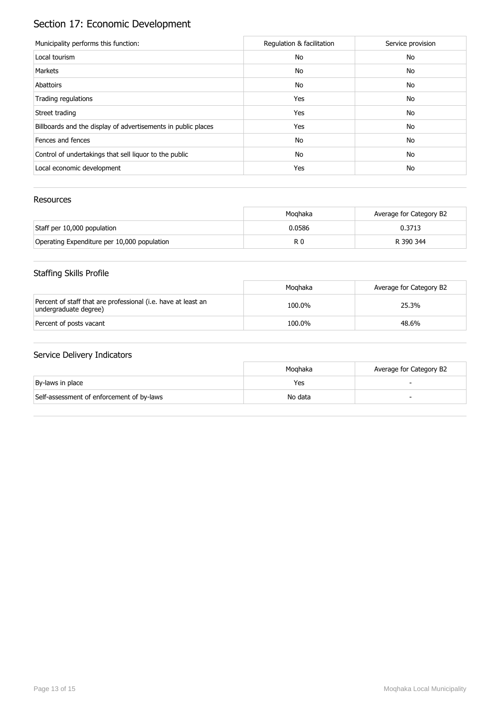# Section 17: Economic Development

| Municipality performs this function:                          | Regulation & facilitation | Service provision |
|---------------------------------------------------------------|---------------------------|-------------------|
| Local tourism                                                 | No                        | No                |
| Markets                                                       | No                        | No                |
| Abattoirs                                                     | No                        | No                |
| Trading regulations                                           | Yes                       | No                |
| Street trading                                                | Yes                       | No                |
| Billboards and the display of advertisements in public places | Yes                       | No                |
| Fences and fences                                             | No                        | No                |
| Control of undertakings that sell liquor to the public        | No                        | No                |
| Local economic development                                    | Yes                       | No                |

#### Resources

|                                             | Moghaka | Average for Category B2 |
|---------------------------------------------|---------|-------------------------|
| Staff per 10,000 population                 | 0.0586  | 0.3713                  |
| Operating Expenditure per 10,000 population | R 0     | R 390 344               |

## Staffing Skills Profile

|                                                                                        | Moahaka | Average for Category B2 |
|----------------------------------------------------------------------------------------|---------|-------------------------|
| Percent of staff that are professional (i.e. have at least an<br>undergraduate degree) | 100.0%  | 25.3%                   |
| Percent of posts vacant                                                                | 100.0%  | 48.6%                   |

|                                           | Moahaka | Average for Category B2 |
|-------------------------------------------|---------|-------------------------|
| By-laws in place                          | Yes     |                         |
| Self-assessment of enforcement of by-laws | No data |                         |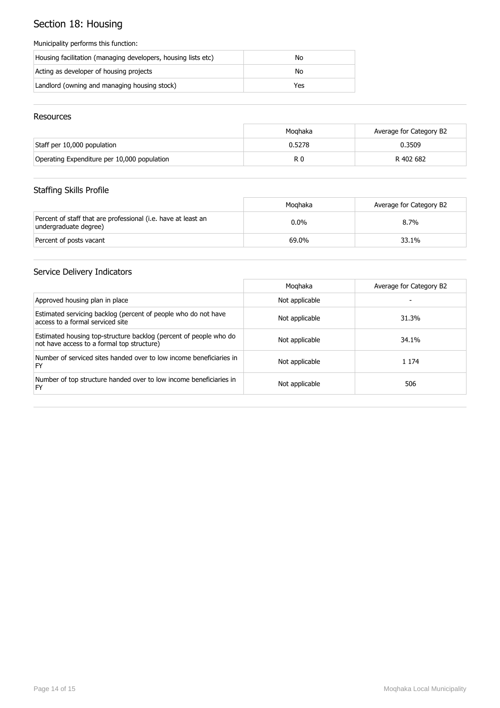## Section 18: Housing

#### Municipality performs this function:

| Housing facilitation (managing developers, housing lists etc) | No  |
|---------------------------------------------------------------|-----|
| Acting as developer of housing projects                       | No  |
| Landlord (owning and managing housing stock)                  | Yes |

#### Resources

|                                             | Moghaka | Average for Category B2 |
|---------------------------------------------|---------|-------------------------|
| Staff per 10,000 population                 | 0.5278  | 0.3509                  |
| Operating Expenditure per 10,000 population | R 0     | R 402 682               |

## Staffing Skills Profile

|                                                                                        | Moghaka | Average for Category B2 |
|----------------------------------------------------------------------------------------|---------|-------------------------|
| Percent of staff that are professional (i.e. have at least an<br>undergraduate degree) | $0.0\%$ | $8.7\%$                 |
| Percent of posts vacant                                                                | 69.0%   | 33.1%                   |

|                                                                                                                 | Moghaka        | Average for Category B2 |
|-----------------------------------------------------------------------------------------------------------------|----------------|-------------------------|
| Approved housing plan in place                                                                                  | Not applicable |                         |
| Estimated servicing backlog (percent of people who do not have<br>access to a formal serviced site              | Not applicable | 31.3%                   |
| Estimated housing top-structure backlog (percent of people who do<br>not have access to a formal top structure) | Not applicable | 34.1%                   |
| Number of serviced sites handed over to low income beneficiaries in<br>FY                                       | Not applicable | 1 1 7 4                 |
| Number of top structure handed over to low income beneficiaries in<br>FY                                        | Not applicable | 506                     |